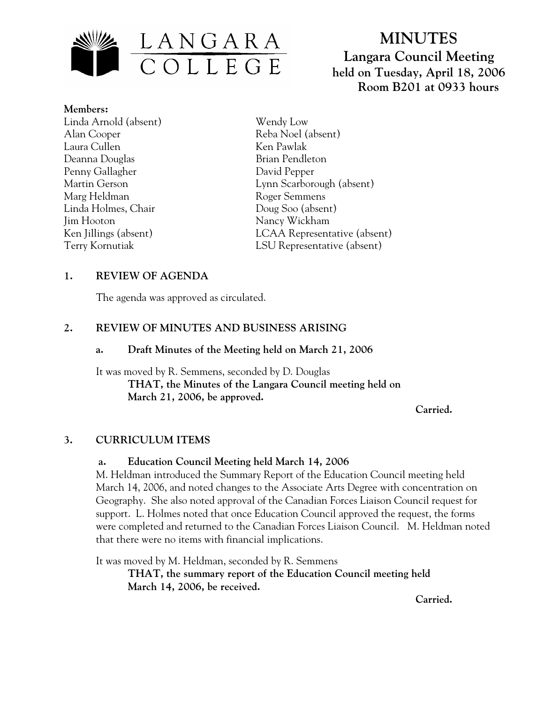

# **MINUTES Langara Council Meeting held on Tuesday, April 18, 2006 Room B201 at 0933 hours**

**Members:** Linda Arnold (absent) Alan Cooper Laura Cullen Deanna Douglas Penny Gallagher Martin Gerson Marg Heldman Linda Holmes, Chair Jim Hooton Ken Jillings (absent) Terry Kornutiak

Wendy Low Reba Noel (absent) Ken Pawlak Brian Pendleton David Pepper Lynn Scarborough (absent) Roger Semmens Doug Soo (absent) Nancy Wickham LCAA Representative (absent) LSU Representative (absent)

# **1. REVIEW OF AGENDA**

The agenda was approved as circulated.

# **2. REVIEW OF MINUTES AND BUSINESS ARISING**

#### **a. Draft Minutes of the Meeting held on March 21, 2006**

It was moved by R. Semmens, seconded by D. Douglas  **THAT, the Minutes of the Langara Council meeting held on March 21, 2006, be approved.** 

*Carried. Carried.* 

# **3. CURRICULUM ITEMS**

# **a. Education Council Meeting held March 14, 2006**

M. Heldman introduced the Summary Report of the Education Council meeting held March 14, 2006, and noted changes to the Associate Arts Degree with concentration on Geography. She also noted approval of the Canadian Forces Liaison Council request for support. L. Holmes noted that once Education Council approved the request, the forms were completed and returned to the Canadian Forces Liaison Council. M. Heldman noted that there were no items with financial implications.

It was moved by M. Heldman, seconded by R. Semmens

**THAT, the summary report of the Education Council meeting held March 14, 2006, be received.** 

*Carried. Carried.*